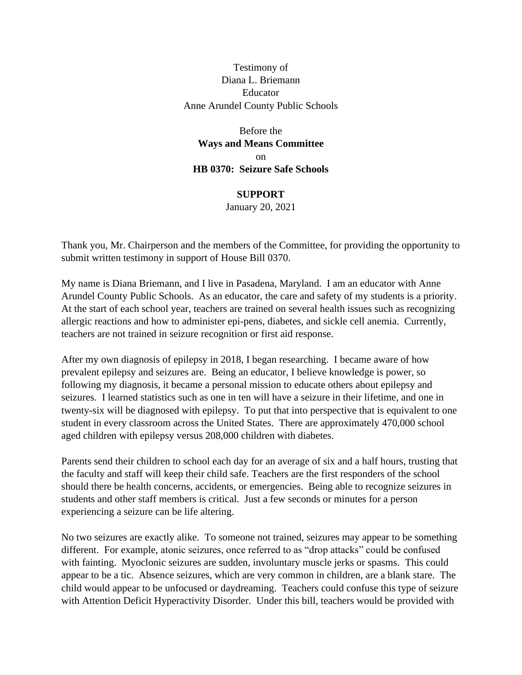Testimony of Diana L. Briemann Educator Anne Arundel County Public Schools

Before the **Ways and Means Committee** on **HB 0370: Seizure Safe Schools**

**SUPPORT**

January 20, 2021

Thank you, Mr. Chairperson and the members of the Committee, for providing the opportunity to submit written testimony in support of House Bill 0370.

My name is Diana Briemann, and I live in Pasadena, Maryland. I am an educator with Anne Arundel County Public Schools. As an educator, the care and safety of my students is a priority. At the start of each school year, teachers are trained on several health issues such as recognizing allergic reactions and how to administer epi-pens, diabetes, and sickle cell anemia. Currently, teachers are not trained in seizure recognition or first aid response.

After my own diagnosis of epilepsy in 2018, I began researching. I became aware of how prevalent epilepsy and seizures are. Being an educator, I believe knowledge is power, so following my diagnosis, it became a personal mission to educate others about epilepsy and seizures. I learned statistics such as one in ten will have a seizure in their lifetime, and one in twenty-six will be diagnosed with epilepsy. To put that into perspective that is equivalent to one student in every classroom across the United States. There are approximately 470,000 school aged children with epilepsy versus 208,000 children with diabetes.

Parents send their children to school each day for an average of six and a half hours, trusting that the faculty and staff will keep their child safe. Teachers are the first responders of the school should there be health concerns, accidents, or emergencies. Being able to recognize seizures in students and other staff members is critical. Just a few seconds or minutes for a person experiencing a seizure can be life altering.

No two seizures are exactly alike. To someone not trained, seizures may appear to be something different. For example, atonic seizures, once referred to as "drop attacks" could be confused with fainting. Myoclonic seizures are sudden, involuntary muscle jerks or spasms. This could appear to be a tic. Absence seizures, which are very common in children, are a blank stare. The child would appear to be unfocused or daydreaming. Teachers could confuse this type of seizure with Attention Deficit Hyperactivity Disorder. Under this bill, teachers would be provided with